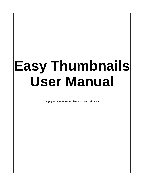# **Easy Thumbnails User Manual**

Copyright © 2001-2008, Fookes Software, Switzerland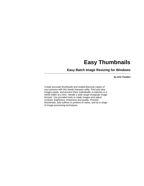# **Easy Thumbnails**

## **Easy Batch Image Resizing for Windows**

*by Eric Fookes*

*Create accurate thumbnails and scaled-down/up copies of your pictures with this handy freeware utility. Find and view images easily, and process them individually, in batches or a whole folder at a time. Handle a wide range of popular image formats. Use provided tools to rotate images and adjust contrast, brightness, sharpness and quality. Preview thumbnails, add suffixes or prefixes to name, and try a range of image-processing techniques.*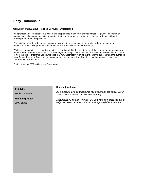# **Easy Thumbnails**

#### **Copyright © 2001-2008, Fookes Software, Switzerland**

All rights reserved. No parts of this work may be reproduced in any form or by any means - graphic, electronic, or mechanical, including photocopying, recording, taping, or information storage and retrieval systems - without the written permission of the publisher.

Products that are referred to in this document may be either trademarks and/or registered trademarks of the respective owners. The publisher and the author make no claim to these trademarks.

While every precaution has been taken in the preparation of this document, the publisher and the author assume no responsibility for errors or omissions, or for damages resulting from the use of information contained in this document or from the use of programs and source code that may accompany it. In no event shall the publisher and the author be liable for any loss of profit or any other commercial damage caused or alleged to have been caused directly or indirectly by this document.

Printed: January 2008 in Charmey, Switzerland

*Fookes Software*

**Managing Editor**

*Eric Fookes*

# **Publisher Special thanks to:**

*All the people who contributed to this document, especially David Nourse who improved the text considerably.*

*Last not least, we want to thank EC Software who wrote this great help tool called HELP & MANUAL which printed this document.*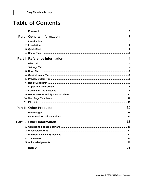$\mathbf{I}$ 

|   | Foreword                               | 0 |
|---|----------------------------------------|---|
|   | <b>Part I General Information</b>      | 1 |
|   |                                        |   |
|   | 2 Installation                         |   |
|   | <b>3</b> Quick Start                   |   |
|   | 4 Useful Tips                          |   |
|   | <b>Part II Reference Information</b>   | 3 |
|   | 1 Files Tab                            |   |
|   |                                        |   |
|   | 3 News Tab                             |   |
|   |                                        |   |
| 5 |                                        |   |
|   |                                        |   |
|   |                                        |   |
|   |                                        |   |
|   |                                        |   |
|   |                                        |   |
|   | 11 File Lists                          |   |
|   | 15<br><b>Part III Other Products</b>   |   |
|   |                                        |   |
|   |                                        |   |
|   | 16<br><b>Part IV Other Information</b> |   |
|   |                                        |   |
|   |                                        |   |
|   |                                        |   |
| 4 |                                        |   |
|   |                                        |   |
|   | <b>Index</b><br>21                     |   |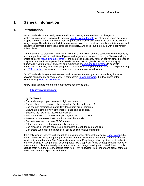# <span id="page-4-0"></span>**1 General Information**

### **1.1 Introduction**

Easy Thumbnails™ is a handy freeware utility for creating accurate thumbnail images and scaled-down/up copies from a wide range of [popular picture formats.](#page-11-0) An elegant interface makes it a snap to find your images and select them for processing individually, in batches, or in whole folders, using a simple file selector and built-in image viewer. You can use slider controls to rotate images and adjust their contrast, brightness, sharpness and quality, and check out the results with a convenient built-in viewer.

Thumbnails can be created in any existing folder or a new folder, and you can identify them clearly by adding a prefix or suffix to their titles. If you're an image-processing enthusiast, you'll enjoy having a choice of eleven [resampling algorithms](#page-10-0) for the best possible results. You can convert small batches of images inside Windows Explorer from the File menu or with a right-click of the mouse, display thumbnails in your browser, and even take advantage of [command-line switches](#page-11-1) to generate thumbnails seamlessly from other programs. You can also save your thumbnails to a Web page using an [HTML template](#page-15-0) that you can easily customize to create your own layouts.

Easy Thumbnails is a genuine freeware product, without the annoyance of advertising, intrusive spyware components, or nag screens. It comes from [Fookes Software,](http://www.fookes.com/) the developers of the award-winning [NoteTab text editors](#page-18-1).

You will find updates and other great software at our Web site...

**<http://www.fookes.com/>**

#### **Key Features**

- · Can scale images up or down with high quality results.
- · Choice of eleven resampling filters, including Bicubic and Lanczos3.
- · Can sharpen soft images, particularly those from digital cameras.
- · Shows a real-time preview of the target image and its file size.
- · Supports the new JPEG 2000 image format.
- · Preserves EXIF data in JPEG images larger than 300x300 pixels.
- · Automatically removes EXIF data from small thumbnails.
- · Supports lossless rotation of JPEG images.
- · Offers an extensive set of command-line switches.
- · Can process all images contained in subfolders through the command-line.
- · Can create Web pages of image sets, based on customizable templates.

If this collection of features isn't enough to suit your needs, please take a look at [Easy Imager.](#page-18-0) Like Easy Thumbnails, Easy Imager organizes tools and preview screens on a tabbed interface, but adds significantly more features. The Explorer-type window in Easy Imager shows pictures as thumbnails, and new settings let you print text on your photos (like a copyright notice or date), convert images to other formats, build attractive digital albums, track down images quickly with powerful search tools, capture them from the screen, acquire them from TWAIN devices like scanners and digital cameras, paste them from the clipboard, and more.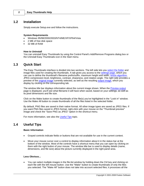### <span id="page-5-0"></span>**1.2 Installation**

Simply execute Setup.exe and follow the instructions.

#### **System Requirements**

- · Windows 95/98/2000/2003/NT4/ME/XP/XP64/Vista
- 2 MB of free disk space
- 32 MB of RAM

#### **How to Uninstall**

You can uninstall Easy Thumbnails by using the Control Panel's Add/Remove Programs dialog box or the Uninstall Easy Thumbnails icon in the Start menu.

### <span id="page-5-1"></span>**1.3 Quick Start**

The Easy Thumbnails interface is divided into two sections. The left side lets you [select the folder](#page-6-0) and image files used for creating the thumbnails. A tab gives you access to the [settings page](#page-7-0), which you can use to define the thumbnail's filename prefix/suffix, maximum height and width, [resize algorithm](#page-10-0), JPEG compression level, brightness, contrast, sharpness, and rotation angle. The right side provides a preview of the [original image](#page-9-1) currently selected, as well as the resulting [output image](#page-9-2), which you display by clicking on the corresponding tab.

The window title bar displays information about the current image shown. When the [Preview output](#page-9-2) page is displayed, you'll see what filename it will have when saved, based on your settings, as well as its pixel dimensions and file size.

Click on the Make button to create thumbnails of the file(s) you've highlighted in the "Look in" window. Use the Make All button to create thumbnails of all the files listed in the selected folder.

By default, PNG files are saved in their native format. All other image types are saved as JPEG files. If you want PNG files saved in JPEG format, right-click with your mouse on the "Thumbnail preview" image and check the "Save PNG as JPEG" option in the shortcut menu.

For more information, see also the [Useful Tips](#page-5-2) topic.

### <span id="page-5-2"></span>**1.4 Useful Tips**

#### **Basic Information**

- Grayed controls indicate fields or buttons that are not available for use in the current context.
- · Move your mouse cursor over a control to display information about it in the status bar at the bottom of the window. Most of the controls have a shortcut menu that you can open by clicking on them with the right button of your mouse. The window title bar is used to display details (name, dimensions, and file size) about the picture currently displayed in the right panel area.

#### **Less Obvious...**

· You can select multiple images in the file-list window by holding down the Ctrl key and clicking on each file with the left mouse button. Use the "Make" button to create thumbnails of only the files you selected. The "Make All" button does not take into account selected files; it processes all the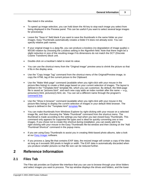files listed in the window.

- · To speed up image selection, you can hold down the Alt key to stop each image you select from being displayed in the Preview panel. This can be useful if you want to select several large images for processing.
- Leave the "Save in" field blank if you want to save the thumbnails in the same folder as your images. Easy Thumbnails automatically creates a folder if it does not already exist. You can specify relative path names.
- If your original image is a Jpeg file, you can produce a lossless (no degradation of image quality)  $\pm$ 90/180 rotation by choosing the Lossless setting in the Algorithm field. Note that there might be a slight reduction in size of the resulting image if its dimensions do not match the DCT (Discrete Cosine Transform) block unit.
- · Double-click on a trackbar's label to reset its value.
- · You can use the shortcut menu from the "Original image" preview area to shrink the picture so that it fits in the display area.
- Use the "Copy Image Tag" command from the shortcut menu of the Original/Preview image, to copy the HTML tag of the current picture to the Clipboard.
- Use the "Make Web page" command (available when you right-click with your mouse in the picture-files listing) to create a Web page based on your current selection of images. The layout is defined in the "Template.html" template file, which you can customize. By default, the Web-page file is saved as "pictures.html", and each new copy adds an index number after the name — e.g., pictures(1).html, pictures(2).html, etc. You can set a different name through the program's [command line](#page-11-1).
- Use the "Show in browser" command (available when you right-click with your mouse in the picture-files listing) to display the current selection of images in your default Web browser. The layout is defined in the "Template.html" [template](#page-15-0) file.
- · You can make thumbnails from Windows Explorer by right-clicking with your mouse on a selected image file, and then choosing the "Make Thumbnail" command from the shortcut menu. The thumbnail is made according to the settings you had when you last closed Easy Thumbnails. This command only appears for supported file types and is ideal for quickly converting one or two images. If you chose not to create this shortcut during installation, you can easily add it by right-clicking with your mouse in the Easy Thumbnails file-list window and then clicking on the "Add Thumbnail Shortcut" command in the popup menu.
- · If you are using Easy Thumbnails to assist you in creating Web-based photo albums, take a look at our [Easy Imager](#page-18-0) software.
- If you process a Jpeg file that contains EXIF data, the resized image will contain a copy of the data as long as it exceeds 300 pixels in height or width. The EXIF data is automatically discarded when you produce smaller pictures so that file size can be reduced further.

# <span id="page-6-0"></span>**2 Reference Information**

### **2.1 Files Tab**

The Files tab provides an Explorer-like interface that you can use to browse through your drive folders and select images you want to process. The top window displays the drives and folders, and the lower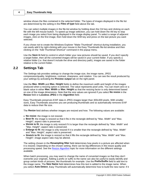window shows the files contained in the selected folder. The types of images displayed in the file list are determined by the setting in the **Files of type** field above the tab.

You can select multiple images in the file-list window by holding down the Ctrl key and clicking on each file with the left mouse button. To speed up image selection, you can hold down the Alt key to stop each image you select from being displayed in the image-display panel. To select a range of adjacent images, click on the first image, then hold down the Shift key and press on the last picture you want selected.

If you chose not to create the Windows Explorer "Make Thumbnail" shortcut during installation, you can easily add it by right-clicking with your mouse in the Easy Thumbnails file-list window and then clicking on the "Add Thumbnail Shortcut" command in the popup menu.

Use the **Save in** field to control in which folder your new pictures should be saved. If you don't specify a target folder, then all the converted images will be saved in your current folder. If you specify a relative folder (i.e. that doesn't include the drive and directory path), images are saved in the folder relative to the current folder.

### <span id="page-7-0"></span>**2.2 Settings Tab**

The Settings tab provides settings to change the image size, the image name, JPEG compression/quality, brightness, contrast, sharpness, and rotation. You can see the result produced by your settings by activating the **Preview output** tab on the right panel.

Use the **Max. Width** and **Max. Height** fields to define the maximum width and height of the images produced when a resizing option is selected. The value represents pixel units. You can insert zero or a blank value in either **Max. Width** or **Max. Height** so that the resizing factor is only determined based on one of the image dimensions. Note that the size values are ignored if you select **No resize** in the **Resize** field or **Lossless JPEG** in the **Algorithm** field.

Easy Thumbnails preserves EXIF data in JPEG images larger than 300x300 pixels. With smaller sizes, Easy Thumbnails assumes you are producing thumbnails and so automatically removes EXIF data to reduce their file size.

The **Resize** field defines whether images are resized and how. The following values are available:

- · **No resize**: the image is not resized.
- · **Best fit**: the image is resized so that it fits in the rectangle defined by "Max. Width" and "Max. Height"; aspect ratio is preserved.
- · **Shrink to fit**: the image is only resized if it is larger than the rectangle defined by "Max. Width" and "Max. Height"; aspect ratio is preserved.
- · **Enlarge to fit**: the image is only resized if it is smaller than the rectangle defined by "Max. Width" and "Max. Height"; aspect ratio is preserved.
- · **Stretch to fit**: the image is resized so that it fills the rectangle defined by "Max. Width" and "Max. Height"; image aspect ratio may be altered.

The setting chosen in the **Resampling filter** field determines how pixels in a picture are affected when it is resized. Depending on the chosen setting, there can be big differences in the resize quality and processing speed. See the [Resize Algorithm](#page-10-0) topic for more information on the different settings available.

When batch processing, you may want to change the name of converted images so that they don't overwrite your originals. Adding a prefix or suffix to the name can also be useful to easily identify and group certain kinds of pictures, like thumbnails for example. Use the **Prefix/Suffix** field to add text to the image name. The **New Name** field determines how this text is added to the image name. When you select **Auto Detect**, Easy Thumbnails will automatically determine how to build the new name: if it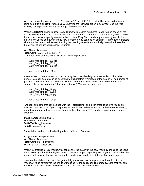starts or ends with an underscore "\_", a hyphen "-", or a dot ".", the text will be added to the image name as a **suffix** or **prefix** respectively, otherwise the **Rename** option is assumed. Use the **Add nothing** setting to keep the original image name unchanged.

When the **Rename** option is used, Easy Thumbnails creates numbered image names based on the text in the **New Name** field. The index number is added at the end of the name unless you use one of the number tokens to specify an alternative position. Easy Thumbnails supports two types of tokens that you can use to add numbering to new filenames. You can use an asterisk "\*" in the text to indicate where numbers must be inserted. Padding with leading zeros is automatically determined based on the number of images you process. Example:

**New Name**: Auto detect **Prefix/Suffix**: alex\_first\_birthday\_\* Filenames produced assuming 100 JPEG files are processed:

alex\_first\_birthday\_001.jpg alex\_first\_birthday\_002.jpg alex\_first\_birthday\_003.jpg ... alex\_first\_birthday\_100.jpg

In some cases, you may want to control exactly how many leading zeros are added to the index number. You can do so by using question mark characters "?" instead of the asterisk. The number of question marks indicates the minimum width to use for the index number. Based on the above example, the following pattern "alex\_first\_birthday\_??" would generate this:

alex\_first\_birthday\_01.jpg alex\_first\_birthday\_02.jpg alex\_first\_birthday\_03.jpg ... alex\_first\_birthday\_100.jpg

Two special tokens that can be used with the {FolderName} and {FileName} fields give you control over the character case of your image names. Prefix the field name with an underscore character " " to produce a name in lowercase, or use an exclamation mark "!" To produce an uppercase name. Example:

**Image name:** Sample04.JPG **New Name**: Auto detect **Prefix/Suffix**: {\_FileName} **Result:** sample04.jpg

These fields can be combined with prefix or suffix text. Example:

**Image name:** Sample04.JPG **New Name**: Auto detect **Prefix/Suffix**: tn\_{!FileName} **Result:** tn\_SAMPLE04.JPG

When you produce JPEG images, you can control the quality of the new image by changing the value of the **JPEG Quality** field. A higher value produces a larger image file (take longer to download on the Internet) with less quality loss. A lower value produces a smaller file at the cost of image quality.

Use the other slider controls to change the brightness, contrast, sharpness, and rotation of your images. A value of 0 leaves the image unmodified for the corresponding property. Note that you can double-click on the label of these slider controls to reset the default value.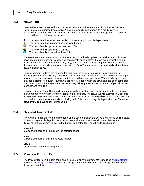### <span id="page-9-0"></span>**2.3 News Tab**

Use the News feature to check the Internet for news and software updates from Fookes Software. News items are organized by category. A single mouse click on a news item will display the corresponding Web page in your browser or starts a file download. Icons are displayed next to news items and have the following meaning:

- ۰ The news item has either been added today or after you last displayed news. ◉
	- The news item has already been displayed before.
- 阊 The news item link points to an .exe Setup file.
- ZIP The news item link points to a .zip file.
- The news item is an e-mail address link. ⋈

The News feature is useful to find out if a new Easy Thumbnails update is available. It also displays news about our other major releases and occasionally special offers that we make available to our users. Information is transmitted one way only, from our server to your computer. The news feature does not send any details about your system to us. Easy Thumbnails determines locally what relevant news to display to you.

Usually, program updates are downloaded and installed directly from within Easy Thumbnails updating your software this way couldn't be easier. However, be aware that some download managers may take over this download process and interfere with normal operations. When this happens, you may see a prompt from Easy Thumbnails asking you to tell it when the download has been completed. With other download managers, the download may fail altogether. In this case, turn off your download manager and try again.

You can configure Easy Thumbnails to automatically check for news at regular intervals by checking the **Check for news every 15 days** option on the News tab. The News tab will automatically become active if new news items have been added since the last viewing. If the **Update** button is available, you can use it to update news manually by clicking on it. This button is only displayed when the **Check for news every 15 days** option is unchecked.

### <span id="page-9-1"></span>**2.4 Original Image Tab**

The Original Image tab is on the right panel and is used to display the active picture in its original state. When an image is displayed in the window, information about its dimensions and file size are displayed in the program title bar. In the bottom part of the tab, you will find three buttons:

#### **Make All**

Makes thumbnails of all the files in the selected folder.

#### **Make**

Makes thumbnails of only the selected images.

#### **Close**

Closes Easy Thumbnails program.

### <span id="page-9-2"></span>**2.5 Preview Output Tab**

The Preview tab is on the right panel and is used to display a preview of the modified [original picture](#page-9-1) based on the [Image Conversion](#page-7-0) settings. Changes in the Image Conversion settings are reflected in the preview window.

*Copyright © 2001-2008 Fookes Software*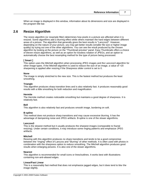When an image is displayed in this window, information about its dimensions and size are displayed in the program title bar.

### <span id="page-10-0"></span>**2.6 Resize Algorithm**

The resize algorithm (or resample filter) determines how pixels in a picture are affected when it is resized. Some algorithms add a blurring effect while others maintain the hard edges between different areas of a picture. The algorithm that generally gives the best results is "Lanczos3". However, depending on the nature of your picture, you may get better results (smaller file size or higher image quality) by trying out one of the other algorithms. You can see the result produced by the chosen algorithm by looking at the picture on the "Thumbnail preview" panel. Easy Thumbnails offers a choice of eleven resize algorithms, as well as an option for lossless rotation of JPEGs, and an option to automatically choose the best resampling method for the type of picture being processed.

#### **[ Smart ]**

This option uses the Mitchell algorithm when processing JPEG images and the Lanczos3 algorithm for other image types. If the Mitchell algorithm is used to reduce the size of an image, a value of +20 sharpening is applied after resizing if the Sharpness slider control is set to 0.

#### **None**

The image is simply stretched to the new size. This is the fastest method but produces the least smoothing.

#### **Triangle**

This algorithm produces sharp transition lines and is also relatively fast. It produces reasonably good results with a little smoothing for both reduction and magnification.

#### **Hermite**

The Hermite method creates noticeable smoothing but maintains a good degree of sharpness. It is relatively fast.

#### **Bell**

This algorithm is also relatively fast and produces smooth image, bordering on soft.

#### **B-spline**

This method does not produce sharp transitions and may cause excessive blurring. It has the advantage of dampening noise and JPEG artifacts. B-spline is one of the slower algorithms.

#### **Lanczos3**

This is the slowest method but it usually produces the sharpest images (comparable to fractal resizing). Under certain conditions, it may introduce some ringing patterns and emphasize JPEG artifacts.

#### **Mitchell**

Resizing with this algorithm produces no sharp transitions and tends to be a good compromise between the "ringing" effect of Lanczos and "blurring" of other methods. It is often used with photos in combination with the sharpness option to reduce smoothing. The Mitchell algorithm produces good results when enlarging pictures. It is also one of the slower algorithms.

#### **Nearest**

This algorithm is recommended for small icons or lines/outlines. It works best with illustrations containing non-anti-aliased edges.

#### **Linear/Fast Linear**

This is a reasonably fast method that does not emphasize jagged edges, but it does tend to blur the image slightly.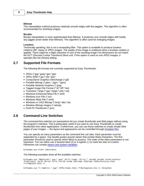#### **Bilinear**

This interpolation method produces relatively smooth edges with few jaggies. This algorithm is often recommended for shrinking images.

#### **Bicubic**

Bicubic interpolation is more sophisticated than Bilinear. It produces very smooth edges with hardly any jaggies (even better than Bilinear). This algorithm is often used for enlarging images.

#### **Lossless**

Technically speaking, this is not a resampling filter. This option is available to produce lossless rotations (90° steps) of JPEG images. The quality of the image is unaltered when a lossless rotation is applied. There might be a slight reduction in size of the resulting image if its dimensions do not match the DCT (Discrete Cosine Transform) block unit. If this option is used on non-JPEG images, it operates like the [Smart] setting.

### <span id="page-11-0"></span>**2.7 Supported File Formats**

The following file formats are currently supported by Easy Thumbnails:

- · JPEG (\*.jpg;\*.jpeg;\*.jpe;\*.jps)
- · JPEG 2000 (\*.jpc;\*.j2k;\*.jp2)
- · CompuServe Graphics Interchange (\*.gif)
- · Portable Bitmap (\*.pbm; \*.pgm; \*.ppm)
- · Portable Network Graphics (\*.png)
- · Tagged Image File Format (\*.tif;\*.tiff;\*.fax)
- · Truevision Targa (\*.tga;\*.targa;\*.vda;\*.vst)
- · Windows Enhanced Meta File (\*.emf)
- · Windows Icon File (\*.ico)
- · Windows Meta File (\*.wmf)
- · Windows or OS/2 Bitmap (\*.bmp;\*.dib;\*.rle)
- · Wireless Bitmap images (\*.wbmp)
- · Zsoft PC Paintbrush (\*.pcx)

### <span id="page-11-1"></span>**2.8 Command-Line Switches**

The command-line switches (or parameters) let you create thumbnails and Web pages without using the program's interface. This is particularly useful if you want to use Easy Thumbnails to create thumbnails from other applications. Furthermore, you can use these switches to create simple Web pages of your images — the layout and appearance can be controlled through [template files.](#page-15-0)

You can specify as many parameters as the command line can take. Each parameter must be separated by a space. Use double quotes around values that contain blank characters. The first parameter should be used to specify which file(s) to process. The order of the other parameters is not important. You can either use a forward slash (/) or a hyphen (-) to mark the start of a switch. Filenames can contain [tokens and system variables](#page-14-0).

EzThumbs.exe *Files* [*Switches*]

The following examples show all the available switches:

```
EzThumbs.exe "%MyPics%\*.jpg;*.png" /D="C:\temp" /P="tn_" /W=200 /H=200 /Z=ShrinkToFit
/F=Mitchell /Q=70 /B=+10 /C=+5 /S=+20 /R=90 /DPI=300 /EXIF=No /HTML=Pictures.html
/T=Template.html /L
```
EzThumbs.exe "c:\Web\tn\_\*.jpg" /HTML=Index.html /T=MyTemplate.htm /L /OnlyHtml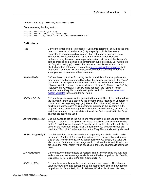EzThumbs.exe -Log -List="%MyDocs%\Images.lst"

Examples using the /Log switch:

EzThumbs.exe "test\\*.jpg" /Log EzThumbs.exe "c:\temp\\*.jpg" /Log=Output EzThumbs.exe "\*.jpg" /Log="c:\My Documents\Thumbnails.dat"

### **Definitions**

| Files             | Defines the image file(s) to process. If used, this parameter should be the first<br>one. You can use DOS wildcards (*, ?) to specify multiple files. Use a<br>semicolon to separate multiple criteria. If no pathname is specified, Easy<br>Thumbnails will search for the images in the current folder. Relative<br>pathnames may be used. Insert a plus character (+) in front of the filename's<br>path to process all matching files contained in subfolders (e.g. EzThumbs.exe<br>"+C:\My Pictures\*.jpg"). Use double quotes around filenames that contain<br>blank characters. Filenames can contain tokens and system variables. Note<br>that Easy Thumbnails will automatically close after processing instructions<br>when you use this command-line parameter. |
|-------------------|----------------------------------------------------------------------------------------------------------------------------------------------------------------------------------------------------------------------------------------------------------------------------------------------------------------------------------------------------------------------------------------------------------------------------------------------------------------------------------------------------------------------------------------------------------------------------------------------------------------------------------------------------------------------------------------------------------------------------------------------------------------------------|
| /D=DestFolder     | Defines the output folder for saving the thumbnail files. Relative pathnames<br>may be used and are expanded based on the location specified by the "Files"<br>parameter. Insert a plus character (+) in front of the folder name to create<br>subfolders relative to each processed source file (e.g. EzThumbs.exe "+C:\My<br>Pictures\*.jpg" /D=+New). If this switch is not used, the "Save in" folder<br>specified in the Easy Thumbnails settings is used. You can use tokens and<br>system variables in the output folder name.                                                                                                                                                                                                                                      |
| /P=ThumbPrefix    | Defines the prefix to use for the generated thumbnail files. If you prefer to have<br>the thumbnail prefix text added as the filename suffix, just use an underscore<br>character at the beginning (e.g. $_t$ n). Use a plus character (+) instead, if you<br>don't want an underscore or plus character included in the filename's suffix<br>(e.g. +tn). If you don't want a prefix/suffix added to the filename, just leave the<br>switch value empty. If this switch is not used, the Prefix specified in the Easy<br>Thumbnails settings is used.                                                                                                                                                                                                                      |
| /W=MaxImageWidth  | Use this switch to define the maximum image width in pixels used to resize the<br>images. A value of 0 (zero) either indicates no resizing or bases the new size<br>on the /H switch value. If you don't specify the /H switch, this value will also be<br>used for the maximum image height. If neither the /W and /H switches are<br>used, the "Max. width" value specified in the Easy Thumbnails settings is used.                                                                                                                                                                                                                                                                                                                                                     |
| /H=MaxImageHeight | Use this switch to define the maximum image height in pixels used to resize<br>the images. A value of 0 (zero) either indicates no resizing or bases the new<br>size on the /W switch value. If you don't specify the /W switch, this value will<br>also be used for the maximum image width. If neither the /W and /H switches<br>are used, the "Max. height" value specified in the Easy Thumbnails settings is<br>used.                                                                                                                                                                                                                                                                                                                                                 |
| /Z=ResizeMode     | Defines how the image should be resized. The following values are available<br>and correspond to the settings available in the Resize drop-down list: BestFit,<br>EnlargeToFit, NoResize, ShrinkToFit, StretchToFit.                                                                                                                                                                                                                                                                                                                                                                                                                                                                                                                                                       |
| /F=ResizeFilter   | Defines the resampling method to use when resizing images. The following<br>values are available and correspond to the settings available in the Algorithm<br>drop-down list: Smart, Bell, Bicubic, Bilinear, BSpline, FastLinear, Hermite,                                                                                                                                                                                                                                                                                                                                                                                                                                                                                                                                |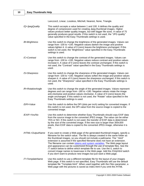### **10 Easy Thumbnails Help**

|                  | Lanczos3, Linear, Lossless, Mitchell, Nearest, None, Triangle.                                                                                                                                                                                                                                                                                                                                                                                                                                                                                                                                                                                                                                                         |
|------------------|------------------------------------------------------------------------------------------------------------------------------------------------------------------------------------------------------------------------------------------------------------------------------------------------------------------------------------------------------------------------------------------------------------------------------------------------------------------------------------------------------------------------------------------------------------------------------------------------------------------------------------------------------------------------------------------------------------------------|
| /Q=JpegQuality   | This switch accepts a value between 1 and 100. It defines the quality and<br>degree of compression used for creating Jpeg thumbnail images. Higher<br>values produce better quality images, but with bigger file sizes. A value of 75<br>generally produces good results. If this switch is not used, the "JPG quality"<br>value specified in the Easy Thumbnails settings is used.                                                                                                                                                                                                                                                                                                                                    |
| /B=Brightness    | Use this switch to change the brightness of the generated images. Values can<br>range from -100 to +100. Negative values darken the image and positive<br>values lighten it. A value of 0 (zero) leaves the brightness unchanged. If this<br>switch is not used, the "Brightness" value specified in the Easy Thumbnails<br>settings is used.                                                                                                                                                                                                                                                                                                                                                                          |
| /C=Contrast      | Use this switch to change the contrast of the generated images. Values can<br>range from -100 to +100. Negative values reduce contrast and positive values<br>increase it. A value of 0 (zero) leaves the contrast unchanged. If this switch is<br>not used, the "Contrast" value specified in the Easy Thumbnails settings is<br>used.                                                                                                                                                                                                                                                                                                                                                                                |
| /S=Sharpness     | Use this switch to change the sharpness of the generated images. Values can<br>range from -100 to +100. Negative values soften the image and positive values<br>sharpen it. A value of 0 (zero) leaves the sharpness unchanged. If this switch is<br>not used, the "Sharpness" value specified in the Easy Thumbnails settings is<br>used.                                                                                                                                                                                                                                                                                                                                                                             |
| /R=RotationAngle | Use this switch to change the angle of the generated images. Values represent<br>degrees and can range from -180 to +180. Negative values rotate the image<br>anti-clockwise and positive values clockwise. A value of 0 (zero) leaves the<br>angle unchanged. If this switch is not used, the "Rotate" value specified in the<br>Easy Thumbnails settings is used.                                                                                                                                                                                                                                                                                                                                                    |
| /DPI=Value       | Use this switch to define the DPI (dots per inch) setting for converted images. If<br>this switch is not used, the DPI value from the source image is copied to the<br>converted image.                                                                                                                                                                                                                                                                                                                                                                                                                                                                                                                                |
| /EXIF=Yes/No     | Use this switch to determine whether Easy Thumbnails should copy EXIF data<br>from the source image to the converted JPEG image. The value can be either<br>YES or NO. If this switch is not used, the transfer of EXIF data is determined<br>by the size of the converted image. If the new size is larger than 300x300<br>pixels, then EXIF data is copied to the converted JPEG image, otherwise it is<br>not.                                                                                                                                                                                                                                                                                                      |
| /HTML=OutputName | If you want to create a Web page of the generated thumbnail images, specify a<br>filename for the switch value. The file is always created in the same folder as<br>the thumbnail images, so you should not include a pathname. The ".html"<br>extension is assumed if the specified filename does not have an extension.<br>The filename can contain tokens and system variables. The Web page layout<br>and appearance can be customized through the use of template files. See the<br>/T switch below to define which template file to use. Use the /L switch to<br>convert image names to lowercase in the Web page. Add the /OnlyHtml switch<br>if you don't want to produce new images but just want a Web page. |
| /T=TemplateName  | Use this switch to use a different template file for the layout of your images<br>Web page. If this switch is not specified, Easy Thumbnails will use the default<br>template file "Template.html". When used together with the Files parameter, a<br>Web page with the pictures is saved as index.html if you omit the /HTML                                                                                                                                                                                                                                                                                                                                                                                          |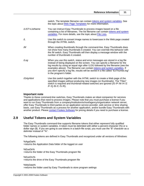switch. The template filename can contain [tokens and system variables.](#page-14-0) See the topic about [Web Page Templates](#page-15-0) for more information.

- */LIST=ListName* You can instruct Easy Thumbnails to process images based on a file containing a list of filenames. The list filename can contain [tokens and system](#page-14-0) [variables](#page-14-0). For more details, see the topic about [File Lists.](#page-16-0)
- */L* Use this switch to convert image names to lowercase in the Web page created through the /HTML switch.
- */M* When creating thumbnails through the command-line, Easy Thumbnails does not show how many thumbnails it created. You can override this behavior with the /M switch. Easy Thumbnails will then display a message window with the number of thumbnails it created.
- */Log* When you use this switch, status and error messages are stored in a log file instead of being displayed on the screen. You can specify a filename for the log results by using an equal sign after /LOG followed by the filename (see the examples above). The filename can contain [tokens and system variables](#page-14-0). If you don't specify a log file, results will be stored in a file called "EzThumbs.log" in the program's folder.
- */OnlyHtml* Use this switch together with the */HTML* switch to create a Web page of the specified images without producing new images (or thumbnails). The "Files" switch is required and thumbnail-related switches are ignored (/D /P /W /H /Z /F /Q /B /C /S /R).

#### **Important note**

Thanks to these command-line switches, Easy Thumbnails makes an ideal companion for services and applications that need to process images. Please note that you must purchase a license if you want to run Easy Thumbnails from a company/institution/school/agency/organization network server, offer Easy Thumbnails to third parties on an application service provider, web service or time sharing basis, use Easy Thumbnails as a process for another application, and/or bundle Easy Thumbnails with another product. Please [contact Fookes Software](#page-19-0) for pricing details if you need to purchase a license.

# <span id="page-14-0"></span>**2.9 Useful Tokens and System Variables**

The Easy Thumbnails command-line supports filename tokens that either represent fully qualified folder names or system variables. A token must be delimited with either a percent character (%) or a dollar sign (\$). If you are going to use tokens in a batch-file script, you must use the "\$" character as a delimiter instead of "%".

The following tokens are defined in Easy Thumbnails and recognized under all versions of Windows:

%AppDat% =returns the Application Data folder of the logged on user

%ExeDir% =returns the folder of the Easy Thumbnails program file

%ExeDrv% =returns the drive of the Easy Thumbnails program file

%MyData% =returns the folder used by Easy Thumbnails to store program settings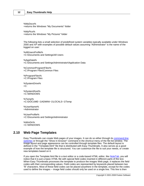%MyDocs% =returns the Windows "My Documents" folder

%MyPics% =returns the Windows "My Pictures" folder

The following lists a small selection of predefined system variables typically available under Windows 2000 and XP with examples of possible default values assuming "Administrator" is the name of the logged on user:

%AllUsersProfile% =C:\Documents and Settings\All Users

%AppData% =C:\Documents and Settings\Administrator\Application Data

%CommonProgramFiles% =C:\Program Files\Common Files

%ProgramFiles% =C:\Program Files

%SystemDrive%  $=C$ :

%SystemRoot%  $=C:$ WINDOWS

%Temp% =C:\DOCUME~1\ADMINI~1\LOCALS~1\Temp

%UserName% =Administrator

%UserProfile% =C:\Documents and Settings\Administrator

%WinDir% =C:\WINDOWS

### <span id="page-15-0"></span>**2.10 Web Page Templates**

Easy Thumbnails can create Web pages of your images. It can do so either through its [command-line](#page-11-1) [switches](#page-11-1) or through the "Show in browser" command in the shortcut menu of the file-list window. The image layout and page appearance can be controlled through template files. The default layout is defined in the "Template.html" file that is distributed with Easy Thumbnails. It also serves as a good example of how the template file is structured. You can customize the file to suit your needs, or create new templates based on it.

If you open the Template.html file in a text editor or a code-based HTML editor, like [NoteTab](#page-18-1), you will notice that it is just a basic HTML file with special field codes inserted in different parts of the text. When Easy Thumbnails processes the template to produce the images Web page, it replaces the field codes with their corresponding values. Field codes are represented by keywords placed between two "\$" characters. Most of these field codes can be placed anywhere in the template, except for the codes used to define the images -- image field codes should only be used on a single line. This line is then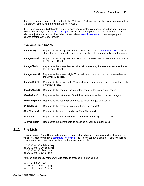duplicated for each image that is added to the Web page. Furthermore, this line must contain the field \$ImageUrl\$, otherwise the template will fail to work.

If you need to create digital photo albums or more sophisticated Web pages based on your images, please consider trying out our [Easy Imager](#page-18-0) software. Easy Imager lets you create superb Web albums in just a few mouse clicks. Visit out Web site at **[www.fookes.com](http://www.fookes.com/ezimager/albums.php)** to see sample photo albums created with Easy Imager.

#### **Available Field Codes**

| \$ImageUrl\$    | Represents the image filename in URL format. If the /L parameter switch is used,<br>characters are changed to lowercase. Use this field for creating links to the image. |
|-----------------|--------------------------------------------------------------------------------------------------------------------------------------------------------------------------|
| \$ImageName\$   | Represents the image filename. This field should only be used on the same line as<br>the \$ImageUrl\$ field.                                                             |
| \$ImageSize\$   | Represents the image file size. This field should only be used on the same line as<br>the \$ImageUrl\$ field.                                                            |
| \$ImageHeight\$ | Represents the image height. This field should only be used on the same line as<br>the \$ImageUrl\$ field.                                                               |
| \$ImageWidth\$  | Represents the image width. This field should only be used on the same line as the<br>\$ImageUrl\$ field.                                                                |
| \$FolderName\$  | Represents the name of the folder that contains the processed images.                                                                                                    |
| \$FolderPath\$  | Represents the pathname of the folder that contains the processed images.                                                                                                |
| \$SearchSpecs\$ | Represents the search pattern used to match images to process.                                                                                                           |
| \$AppName\$     | Represents the program name (i.e. Easy Thumbnails).                                                                                                                      |
| \$AppVersion\$  | Represents the version number of Easy Thumbnails.                                                                                                                        |
| \$AppUrl\$      | Represents the link to the Easy Thumbnails homepage on the Web.                                                                                                          |
| \$CurrentDate\$ | Represents the current date as specified by your computer clock.                                                                                                         |

### <span id="page-16-0"></span>**2.11 File Lists**

You can instruct Easy Thumbnails to process images based on a file containing a list of filenames, which you specify through a [command-line switch](#page-11-1). The file can contain a simple list of fully qualified image names with one name per line like the following example:

```
c:\WINDOWS\Bubbles.bmp
c:\WINDOWS\Circles.bmp
c:\WINDOWS\Tiles.bmp
c:\WINDOWS\Waves.bmp
```
You can also specify names with wild cards to process all matching files:

```
c:\WINDOWS\*.bmp
c:\My Pictures\*.jpg
c:\My Pictures\*.png
```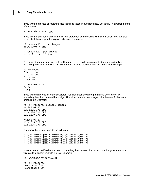If you want to process all matching files including those in subdirectories, just add a + character in front of the name:

```
+c:\My Pictures\*.jpg
```
If you want to add comments in the file, just start each comment line with a semi colon. You can also insert blank lines in your list to group elements if you wish.

```
;Process all bitmap images
c:\WINDOWS\*.bmp
;Process all jpeg images
c:\My Pictures\*.jpg
```
To simplify the creation of long lists of filenames, you can define a main folder name on the line preceding the files it contains. The folder name must be preceded with an = character. Example:

```
=c:\WINDOWS
Bubbles.bmp
Circles.bmp
Tiles.bmp
Waves.bmp
=c:\My Pictures
*.jpg
*.png
```
If you work with complex folder structures, you can break down the path name even further by preceding the folder name with  $a + \sin A$ . The folder name is then merged with the main folder name preceding it. Example:

```
=c:\My Pictures\Digital Camera
=+20020715111-1171_IMG.JPG
111-1174_IMG.JPG
111-1179_IMG.JPG
```
 $=+20020717$ 112-1213\_IMG.JPG 112-1216\_IMG.JPG

The above list is equivalent to the following:

```
c:\My Pictures\Digital Camera\2002_07_15\111-1171_IMG.JPG
c:\My Pictures\Digital Camera\2002_07_15\111-1174_IMG.JPG
c:\My Pictures\Digital Camera\2002_07_15\111-1179_IMG.JPG
c:\My Pictures\Digital Camera\2002_07_17\112-1213_IMG.JPG
c:\My Pictures\Digital Camera\2002_07_17\112-1216_IMG.JPG
```
You can even specify other file lists by preceding their name with a colon. Note that you cannot use wild cards to specify multiple file lists. Example:

```
:c:\WINDOWS\Patterns.lst
=c:\My Pictures
:Portraits.lst
:Landscapes.lst
```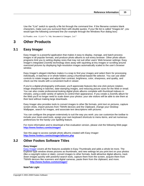Use the "/List" switch to specify a file list through the command line. If the filename contains blank characters, make sure you surround them with double quotes. If your file list is called "Images.lst", you would type the following command line (for example through the Windows Run dialog box):

EzThumbs.exe /List="c:\My Documents\Images.lst"

# <span id="page-18-0"></span>**3 Other Products**

### **3.1 Easy Imager**

Easy Imager is a powerful application that makes it easy to display, manage, and batch-process images in all popular formats, and produce photo albums to suit every browser. Other photo album programs limit you to setting display sizes that may not suit other users' Web browser settings: Easy Imager's integrated Zoomify technology does away with squinting at tiny images or scrolling around oversized pictures by displaying high-resolution images automatically scaled to the user's browser window.

Easy Imager's elegant interface makes it a snap to find your images and select them for processing individually, in batches or in whole folders using a thumbnail-based file selector. You can use slider controls to rotate images and adjust their contrast, brightness, color, sharpness, and quality, and check out the results with a convenient built-in viewer.

If you're a digital-photography enthusiast, you'll appreciate features like one-click picture rotation, image sharpening in batches, date-stamping images, and reducing picture sizes for the Web or email. You can also create professional-looking digital photo albums complete with thumbnail indexes in minutes, using a wide variety of options to control their appearance. If you create a Zoomify album for the Web you'll no longer need to scale down your photos: your site visitors will be able to see them at their best without making large downloads.

Easy Imager also provides tools to convert images to other file formats, print text on pictures, capture screen shots, import pictures from TWAIN devices and the Clipboard, change your Desktop Wallpaper, search for images, and associate text descriptions with pictures.

You can configure the program extensively to suit the way you work: you can customize the toolbar to include your most-used tools, assign your own keyboard shortcuts to menu items, and set numerous preferences for the handy Live Spelling feature.

For more information and to download a free evaluation version, please visit the following Web page: **<http://www.fookes.com/ezimager/>**

See this page to access sample photo albums created with Easy Imager: **<http://www.fookes.com/ezimager/albums.php>**

### <span id="page-18-1"></span>**3.2 Other Fookes Software Titles**

#### **Easy Imager**

[Easy Imager](#page-18-0) covers all the features available in Easy Thumbnails and adds a whole lot more. The Explorer-type window shows pictures as thumbnails, and new settings let you print text on your photos (like a copyright notice or date), convert images to other formats, build attractive digital albums, track down images quickly with powerful search tools, capture them from the screen, acquire them from TWAIN devices like scanners and digital cameras, paste them from the clipboard, and more.

**<http://www.fookes.com/ezimager/>**

#### **NoteTab Light**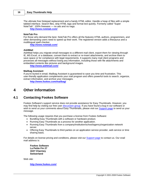The ultimate free Notepad replacement and a handy HTML editor. Handle a heap of files with a simple tabbed interface. Search files, strip HTML tags and format text quickly. Formerly called "Super NoteTab". 100% freeware — no ads and no nags.

**<http://www.notetab.com/>**

#### **NoteTab Pro**

For those who demand the best. NoteTab Pro offers all the features HTML authors, programmers, and other demanding users need to speed up their work. The registered version adds a thesaurus and a multilingual spell checker.

**<http://www.notetab.com/>**

#### **Aid4Mail**

Aid4Mail helps you migrate email messages to a different mail client, export them for viewing through IE, MS Excel, or a database, convert them to extract or re-insert attachments, and archive them to save space or for compliance with legal requirements. It supports many mail client programs and processes all messages without losing any information, including those with file attachments and embedded contents like pictures and background images.

**<http://www.aid4mail.com/>**

#### **Mailbag Assistant**

If you're buried in email, Mailbag Assistant is guaranteed to save you time and frustration. This user-friendly application complements your mail program and offers powerful tools to search, organize, extract information, and archive your messages.

**<http://www.fookes.com/mailbag/>**

# <span id="page-19-0"></span>**4 Other Information**

### **4.1 Contacting Fookes Software**

Fookes Software's support service does not provide assistance for Easy Thumbnails. However, you may find help by visiting our free user [discussion group](#page-20-0). If you have found a bug in our software or wish to send us your comments about Easy Thumbnails, please visit our [Support page](http://www.fookes.com/support.php) to send us your message.

The following usage requires that you purchase a license from Fookes Software:

- · Bundling Easy Thumbnails with a software or hardware product.
- · Running Easy Thumbnails as a process for another application.
- · Running Easy Thumbnails from a company/institution/school/agency/organization network server.
- · Offering Easy Thumbnails to third parties on an application service provider, web service or time sharing basis.

For details on license pricing and conditions, please visit our [Support page](http://www.fookes.com/support.php) to contact us. Our snail mail address is:

**Fookes Software La Petite Fin 27 1637 Charmey Switzerland**

Web site:

**<http://www.fookes.com/>**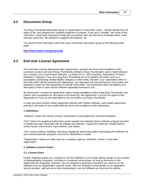# <span id="page-20-0"></span>**4.2 Discussion Group**

The Easy Thumbnails discussion group is a great place to meet other users – friendly people from all walks of life, and ranging from complete beginners to experts. If you are a "newbie", ask some of the "old timers" some basic questions to help get you started. Also use this list to exchange ideas, share neat tips and tricks, ask questions, suggest new features, etc.

You will find more information about the Easy Thumbnails discussion group on the following Web page:

**<http://www.fookes.com/groups.php>**

# <span id="page-20-1"></span>**4.3 End User License Agreement**

This End User License Agreement (this "Agreement"), governs the terms and conditions of the Licensee's access and use of Easy Thumbnails software ("Easy Thumbnails"), and is made between the Licensee ("you") and Fookes Software, La Petite Fin 27, 1637 Charmey, Switzerland ("Fookes Software"). However, if you are using Easy Thumbnails as or on behalf of an entity, such as a corporation, partnership, limited liability company or other entity, the term "you" used below refers to the entity which will be bound by this Agreement. You represent and warrant that you have power and authority to enter into this Agreement on behalf of the entity. This Agreement does not address any third-party or free or open source software separately licensed to you.

By clicking the "I accept the Agreement" option during installation and/or using Easy Thumbnails, you confirm your acceptance of, and agree to be bound by, this Agreement. If you do not agree to this Agreement or if you do not understand it, do not install or use Easy Thumbnails.

In case you have another written agreement directly with Fookes Software, such written agreement prevails in the event of any conflict with the terms and conditions of this Agreement.

#### **1. Definitions**

"Software" means the version of Easy Thumbnails in executable form and documentation.

"GUI" means the graphical (rather than purely textual) user interface that a software program provides to enable end user interaction with its settings and features. Typical GUI elements include buttons, combo boxes, check boxes, input controls, and sliders.

"Use" means loading, installing, executing, displaying, performing and/or transmitting the Software for your internal business purposes, and not for distribution or resale.

"Organization" means an entity such as a company, agency, institution, school, or any other organization.

#### **2. Software License Grants**

#### *2.1. License Grant*

Fookes Software grants you a license to Use the Software in GUI mode without charge on any number of desktop/laptop computers, including in a business environment, as long as the terms of this Agreement are respected. However, you are required to purchase a license if you want to run the Software from an Organization network server, offer the Software to third parties on an application service provider, web service or time sharing basis, use the Software as a process for another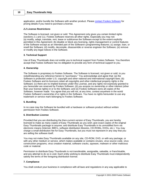application, and/or bundle the Software with another product. Please [contact Fookes Software](#page-19-0) for pricing details if you need to purchase a license.

#### *2.2 License Restrictions*

The Software is licensed, not given or sold. This Agreement only gives you certain limited rights (sections 2.1 and 11). Fookes Software reserves all other rights. Especially you may not: (a) modify, adapt, translate, rent, lease or sublicense the Software except to the extent explicitly permitted in this Agreement; (b) disable or block any licensing, rights management or control features of the Software except as an intended part of the Software's programming features; (c) assign, loan, or resell the Software; (d) modify, decompile, disassemble or reverse engineer the Software; (e) remove or modify any legal notices in the Software.

#### **3. Technical Support**

Use of Easy Thumbnails does not entitle you to technical support from Fookes Software. You therefore accept that Fookes Software has no obligation to provide any form of technical support to you.

#### **4. Ownership**

The Software is proprietary to Fookes Software. The Software is licensed, not given or sold, to you notwithstanding any reference herein to "purchases." You acknowledge and agree that: (a) the Software is protected under U.S. copyright and other national and international copyright laws; (b) Fookes Software and its licensors retain all copyrights and other intellectual property rights in the Software; (c) there are no implied licenses under this License, and any rights not expressly granted to you hereunder are reserved by Fookes Software; (d) you acquire no ownership or other interest (other than your license rights) in or to the Software; and (e) Fookes Software owns all copies of the Software, however made. You agree that you will not, at any time, contest anywhere in the world Fookes Software's ownership of or rights in the Software. You have no rights hereunder to use any trademark or service mark belonging to Fookes Software.

#### **5. Bundling**

In no case may the Software be bundled with a hardware or software product without written permission from Fookes Software.

#### **6. Distribution License**

Provided that you are distributing the then-current version of Easy Thumbnails, you are hereby licensed to make as many copies of Easy Thumbnails as you wish; give exact copies of the original Easy Thumbnails package to anyone; and distribute Easy Thumbnails in its unmodified form via electronic means (Internet, BBS's, software distribution libraries, CD-ROMs, DVDs, etc.). You may charge a small distribution fee for Easy Thumbnails, but you must not represent in any way that you are selling the software itself.

You may not make Easy Thumbnails available on any site, CD-ROM, DVD, or with any package, or with any other medium or service, which makes available or contains viruses, virus source code, virus construction programs, virus creation material, software cracks, spyware, malware or other malicious code or material.

Permission to distribute Easy Thumbnails is not transferable, assignable, saleable, or franchisable, and any attempt to do so is void. Each entity wishing to distribute Easy Thumbnails must independently satisfy the terms of the foregoing distribution license.

#### **7. Compliance**

You shall conduct your business in compliance with all laws and regulations in any way applicable to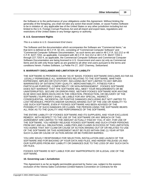the Software or to the performance of your obligations under this Agreement. Without limiting the generality of the foregoing, you shall not take any action that would violate, or cause Fookes Software to be in violation of, any applicable law of the United States or any other jurisdiction including but not limited to the U.S. Foreign Corrupt Practices Act and all import and export laws, regulations and restrictions of the United States or any foreign agency or authority.

#### **8. U.S. Government Rights**

#### *This is a notice to U.S. Government End Users:*

The Software and the documentation which accompanies the Software are "Commercial Items," as that term is defined at 48 C.F.R. §2.101, consisting of "Commercial Computer Software" and "Commercial Computer Software Documentation," as such terms are used in 48 C.F.R. §12.212 or 48 C.F.R. §227.7202, as applicable. Consistent with 48 C.F.R. §12.212 or 48 C.F.R. §§227.7202-1 through 227.7202-4, as applicable, the Commercial Computer Software and Commercial Computer Software Documentation are being licensed to U.S. Government end users (a) only as Commercial Items and (b) with only those rights as are granted to all other end users pursuant to the terms and conditions herein. Fookes Software, La Petite Fin 27, 1637 Charmey, Switzerland.

#### **9. WARRANTY DISCLAIMER AND LIMITATION OF LIABILITY**

THE SOFTWARE IS PROVIDED ON AN "AS IS" BASIS. FOOKES SOFTWARE DISCLAIMS AS FAR AS LEGALLY PERMISSIBLE ALL WARRANTIES RELATING TO THE SOFTWARE, WHETHER EXPRESSED, IMPLIED OR STATUTORY, INCLUDING BUT NOT LIMITED TO ANY IMPLIED WARRANTIES OF SATISFACTORY QUALITY, MERCHANTABILITY, FITNESS FOR A PARTICULAR PURPOSE, COMPATIBILITY OR NON-INFRINGEMENT . FOOKES SOFTWARE DOES NOT WARRANT THAT THE SOFTWARE WILL MEET YOUR REQUIREMENTS OR BE UNINTERRUPTED, SECURE OR ERROR-FREE. NEITHER FOOKES SOFTWARE NOR ANYONE ELSE WHO HAS BEEN INVOLVED IN THE CREATION, PRODUCTION, OR DELIVERY OF THE SOFTWARE ("SUPPLIERS") SHALL BE LIABLE FOR ANY SPECIAL, INDIRECT, CONSEQUENTIAL, INCIDENTAL OR PUNITIVE DAMAGES (INCLUDING BUT NOT LIMITED TO LOST REVENUES, PROFITS AND/OR SAVINGS) ARISING OUT OF THE USE OR INABILITY TO USE SUCH SOFTWARE, EVEN IF FOOKES SOFTWARE HAS BEEN ADVISED OF THE POSSIBILITY OF SUCH DAMAGES OR CLAIMS. THE PERSON USING THE SOFTWARE BEARS ALL RISK AS TO THE QUALITY AND PERFORMANCE OF THE SOFTWARE.

THE ENTIRE LIABILITY OF FOOKES SOFTWARE AND ITS SUPPLIERS, AND YOUR EXCLUSIVE REMEDY, WITH RESPECT TO THE USE OF THE SOFTWARE OR ANY BREACH OF THIS AGREEMENT ARE LIMITED TO THE AMOUNT ACTUALLY PAID BY YOU, IF ANY, FOR USE OF THE SOFTWARE. YOU HEREBY RELEASE FOOKES SOFTWARE AND SUCH OTHER PERSONS FROM ANY AND ALL OBLIGATIONS, LIABILITIES AND CLAIMS IN EXCESS OF THIS LIMITATION. YOU AGREE THAT ANY CLAIM OR CAUSE OF ACTION ARISING OUT OF OR RELATED TO USE OF THE SOFTWARE OR THIS AGREEMENT MUST BE FILED WITHIN ONE (1) YEAR AFTER SUCH CLAIM OR CAUSE OF ACTION AROSE OR BE FOREVER BARRED.

YOU ARE SOLELY RESPONSIBLE FOR SELECTION, INSTALLATION AND LAUNCH OF THE SOFTWARE AND FOR BACKING UP YOUR DATA AND FILES, AND HEREBY RELEASE US AND OUR SUPPLIERS FROM ANY LIABILITY OR DAMAGES DUE TO THE LOSS OF ANY SUCH DATA OR FILES.

FOOKES SOFTWARE IS NOT LIABLE FOR ANY INAPPROPRIATE OR ILLEGAL USE OF THE SOFTWARE.

#### **10. Governing Law / Jurisdiction**

This Agreement is as far as legally permissible governed by Swiss Law, subject to the express exclusion of the Vienna Sales Convention (United Nations Convention on Contracts for the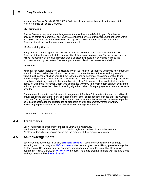International Sale of Goods, CISG, 1980.) Exclusive place of jurisdiction shall be the court at the registered office of Fookes Software.

#### **11. Termination**

Fookes Software may terminate this Agreement at any time upon default by you of the license provisions of this Agreement, or any other material default by you of this Agreement not cured within thirty (30) days after written notice thereof. Except for Sections 2 and 6, all provisions of this Agreement shall survive termination of this Agreement.

#### **12. Severability Clause**

If any provision of this Agreement is or becomes ineffective or if there is an omission from this Agreement, this does not affect the legal validity of the remaining provisions. The ineffective provision will be replaced by an effective provision that is as close as possible in economic terms to the provision wanted by the parties. The same procedure applies in the case of an omission.

#### **13. General**

You shall not assign, delegate or sublicense any of your rights or obligations under this Agreement, by operation of law or otherwise, without prior written consent of Fookes Software, and any attempt without such consent shall be void. Subject to the preceding sentence, this Agreement binds and benefits the permitted successors and assigns of the parties. Fookes Software may change the terms, conditions and pricing relating to the future licensing of its Software and other intellectual property rights, including this Agreement, from time to time. No waiver will be implied from conduct or failure to enforce rights nor effective unless in a writing signed on behalf of the party against whom the waiver is asserted.

There are no third-party beneficiaries to this Agreement. Fookes Software is not bound by additional and/or conflicting provisions in any purchase order or other correspondence unless expressly agreed in writing. This Agreement is the complete and exclusive statement of agreement between the parties as to its subject matter and supersedes all proposals or prior agreements, verbal or written, advertising, representations or communications concerning the Software.

Last updated: 30 January 2008

### <span id="page-23-0"></span>**4.4 Trademarks**

Easy Thumbnails is a trademark of Fookes Software, Switzerland. Windows is a trademark of Microsoft Corporation registered in the U.S. and other countries. All other trademarks and service marks are the property of their respective owners.

### <span id="page-23-1"></span>**4.5 Acknowledgements**

Easy Imager is developed in Delphi, a **[Borland product](http://www.borland.com/delphi/)**. It uses the ImageEn library for image rendering and processing from **[HiComponents](http://www.hicomponents.com/)**. This well-designed Delphi library provides image file I/O for popular file formats, printing, scanning, and image processing features. This Help file was authored in Help & Manual, an **[EC Software](http://www.ec-software.com/)** product. The Setup program is made with the Inno Setup package developed by **[Jordan Russell](http://www.jrsoftware.org/)**.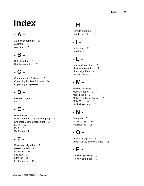# **Index**

# **- A -**

Acknowledgements 20 Aid4Mail 15 Algorithm 7

# **- B -**

Bell algorithm 7 B-spline algorithm 7

# **- C -**

Command-Line Switches 8 Contacting Fookes Software 16 Copy image tag (HTML) 2

# **- D -**

discussion group 17 DPI 8

# **- E -**

Easy Imager 15 Easy Thumbnails discussion group 17 End User License Agreement 17 EULA 17 EXIF 8 EXIF data 2

# **- F -**

Fast linear algorithm 7 Faster preview 2 Feedback 16 File lists 13 Files tab 3 Folder tokens 11

# **- H -**

Hermite algorithm 7 How to get help 17

# **- I -**

Installation 2 Introduction 1

# **- L -**

Lanczos3 algorithm 7 License Information 17 Linear algorithm 7 Lossless JPEGs 7

# **- M -**

Mailbag Assistant 15 Make All button 2 Make button 2 Make Thumbnail shortcut 2 Make Web page 2 Mitchell algorithm 7

# **- N -**

News tab 6 NoteTab Light 15 NoteTab Pro 15

# **- O -**

Original image tab 6 Other Fookes Software Titles 15

# **- P -**

| Preview in browser   |  |
|----------------------|--|
| Preview output tab 6 |  |